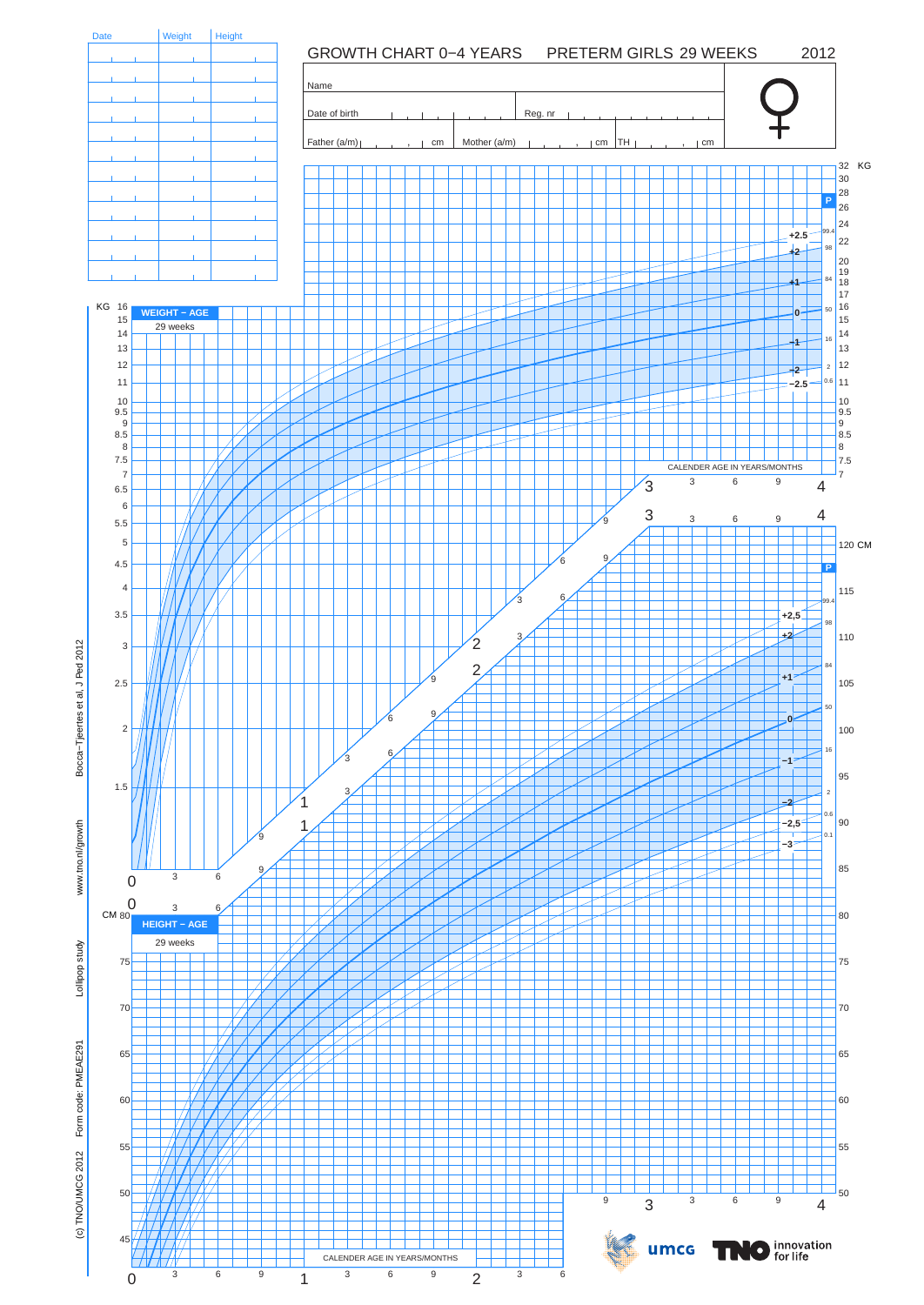